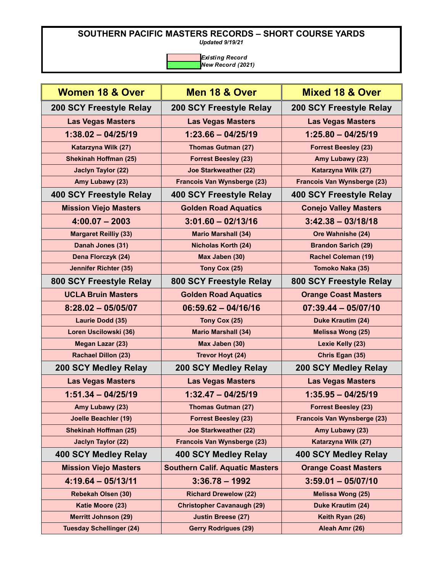*Updated 9/19/21*

| <b>Women 18 &amp; Over</b>      | Men 18 & Over                          | <b>Mixed 18 &amp; Over</b>   |
|---------------------------------|----------------------------------------|------------------------------|
| <b>200 SCY Freestyle Relay</b>  | 200 SCY Freestyle Relay                | 200 SCY Freestyle Relay      |
| <b>Las Vegas Masters</b>        | <b>Las Vegas Masters</b>               | <b>Las Vegas Masters</b>     |
| $1:38.02 - 04/25/19$            | $1:23.66 - 04/25/19$                   | $1:25.80 - 04/25/19$         |
| Katarzyna Wilk (27)             | <b>Thomas Gutman (27)</b>              | <b>Forrest Beesley (23)</b>  |
| <b>Shekinah Hoffman (25)</b>    | <b>Forrest Beesley (23)</b>            | Amy Lubawy (23)              |
| Jaclyn Taylor (22)              | <b>Joe Starkweather (22)</b>           | Katarzyna Wilk (27)          |
| Amy Lubawy (23)                 | Francois Van Wynsberge (23)            | Francois Van Wynsberge (23)  |
| 400 SCY Freestyle Relay         | 400 SCY Freestyle Relay                | 400 SCY Freestyle Relay      |
| <b>Mission Viejo Masters</b>    | <b>Golden Road Aquatics</b>            | <b>Conejo Valley Masters</b> |
| $4:00.07 - 2003$                | $3:01.60 - 02/13/16$                   | $3:42.38 - 03/18/18$         |
| <b>Margaret Reilliy (33)</b>    | <b>Mario Marshall (34)</b>             | Ore Wahnishe (24)            |
| Danah Jones (31)                | <b>Nicholas Korth (24)</b>             | <b>Brandon Sarich (29)</b>   |
| Dena Florczyk (24)              | Max Jaben (30)                         | Rachel Coleman (19)          |
| <b>Jennifer Richter (35)</b>    | Tony Cox (25)                          | Tomoko Naka (35)             |
| 800 SCY Freestyle Relay         | 800 SCY Freestyle Relay                | 800 SCY Freestyle Relay      |
| <b>UCLA Bruin Masters</b>       | <b>Golden Road Aquatics</b>            | <b>Orange Coast Masters</b>  |
| $8:28.02 - 05/05/07$            | $06:59.62 - 04/16/16$                  | $07:39.44 - 05/07/10$        |
| Laurie Dodd (35)                | Tony Cox (25)                          | Duke Krautim (24)            |
| Loren Uscilowski (36)           | <b>Mario Marshall (34)</b>             | Melissa Wong (25)            |
| Megan Lazar (23)                | Max Jaben (30)                         | Lexie Kelly (23)             |
| <b>Rachael Dillon (23)</b>      | <b>Trevor Hoyt (24)</b>                | Chris Egan (35)              |
| 200 SCY Medley Relay            | 200 SCY Medley Relay                   | <b>200 SCY Medley Relay</b>  |
| <b>Las Vegas Masters</b>        | <b>Las Vegas Masters</b>               | <b>Las Vegas Masters</b>     |
| $1:51.34 - 04/25/19$            | $1:32.47 - 04/25/19$                   | $1:35.95 - 04/25/19$         |
| Amy Lubawy (23)                 | <b>Thomas Gutman (27)</b>              | <b>Forrest Beesley (23)</b>  |
| <b>Joelle Beachler (19)</b>     | <b>Forrest Beesley (23)</b>            | Francois Van Wynsberge (23)  |
| <b>Shekinah Hoffman (25)</b>    | <b>Joe Starkweather (22)</b>           | Amy Lubawy (23)              |
| <b>Jaclyn Taylor (22)</b>       | Francois Van Wynsberge (23)            | Katarzyna Wilk (27)          |
| 400 SCY Medley Relay            | <b>400 SCY Medley Relay</b>            | 400 SCY Medley Relay         |
| <b>Mission Viejo Masters</b>    | <b>Southern Calif. Aquatic Masters</b> | <b>Orange Coast Masters</b>  |
| $4:19.64 - 05/13/11$            | $3:36.78 - 1992$                       | $3:59.01 - 05/07/10$         |
| <b>Rebekah Olsen (30)</b>       | <b>Richard Drewelow (22)</b>           | Melissa Wong (25)            |
| Katie Moore (23)                | <b>Christopher Cavanaugh (29)</b>      | Duke Krautim (24)            |
| <b>Merritt Johnson (29)</b>     | <b>Justin Breese (27)</b>              | Keith Ryan (26)              |
| <b>Tuesday Schellinger (24)</b> | <b>Gerry Rodrigues (29)</b>            | Aleah Amr (26)               |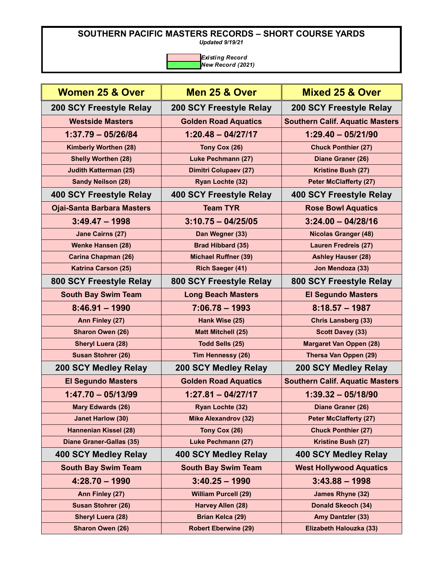*Updated 9/19/21*

| Women 25 & Over                   |                              | Mixed 25 & Over                        |
|-----------------------------------|------------------------------|----------------------------------------|
|                                   | Men 25 & Over                |                                        |
| 200 SCY Freestyle Relay           | 200 SCY Freestyle Relay      | 200 SCY Freestyle Relay                |
| <b>Westside Masters</b>           | <b>Golden Road Aquatics</b>  | <b>Southern Calif. Aquatic Masters</b> |
| $1:37.79 - 05/26/84$              | $1:20.48 - 04/27/17$         | $1:29.40 - 05/21/90$                   |
| Kimberly Worthen (28)             | Tony Cox (26)                | <b>Chuck Ponthier (27)</b>             |
| <b>Shelly Worthen (28)</b>        | <b>Luke Pechmann (27)</b>    | Diane Graner (26)                      |
| <b>Judith Katterman (25)</b>      | <b>Dimitri Colupaev (27)</b> | Kristine Bush (27)                     |
| <b>Sandy Neilson (28)</b>         | Ryan Lochte (32)             | <b>Peter McClafferty (27)</b>          |
| 400 SCY Freestyle Relay           | 400 SCY Freestyle Relay      | 400 SCY Freestyle Relay                |
| <b>Ojai-Santa Barbara Masters</b> | <b>Team TYR</b>              | <b>Rose Bowl Aquatics</b>              |
| $3:49.47 - 1998$                  | $3:10.75 - 04/25/05$         | $3:24.00 - 04/28/16$                   |
| <b>Jane Cairns (27)</b>           | Dan Wegner (33)              | <b>Nicolas Granger (48)</b>            |
| <b>Wenke Hansen (28)</b>          | <b>Brad Hibbard (35)</b>     | <b>Lauren Fredreis (27)</b>            |
| <b>Carina Chapman (26)</b>        | <b>Michael Ruffner (39)</b>  | <b>Ashley Hauser (28)</b>              |
| <b>Katrina Carson (25)</b>        | <b>Rich Saeger (41)</b>      | Jon Mendoza (33)                       |
| 800 SCY Freestyle Relay           | 800 SCY Freestyle Relay      | 800 SCY Freestyle Relay                |
| <b>South Bay Swim Team</b>        | <b>Long Beach Masters</b>    | <b>El Segundo Masters</b>              |
| $8:46.91 - 1990$                  | $7:06.78 - 1993$             | $8:18.57 - 1987$                       |
| Ann Finley (27)                   | Hank Wise (25)               | <b>Chris Lansberg (33)</b>             |
| Sharon Owen (26)                  | <b>Matt Mitchell (25)</b>    | <b>Scott Davey (33)</b>                |
| <b>Sheryl Luera (28)</b>          | <b>Todd Sells (25)</b>       | <b>Margaret Van Oppen (28)</b>         |
| <b>Susan Stohrer (26)</b>         | Tim Hennessy (26)            | Thersa Van Oppen (29)                  |
| 200 SCY Medley Relay              | <b>200 SCY Medley Relay</b>  | 200 SCY Medley Relay                   |
| <b>El Segundo Masters</b>         | <b>Golden Road Aquatics</b>  | <b>Southern Calif. Aquatic Masters</b> |
| $1:47.70 - 05/13/99$              | $1:27.81 - 04/27/17$         | $1:39.32 - 05/18/90$                   |
| <b>Mary Edwards (26)</b>          | Ryan Lochte (32)             | Diane Graner (26)                      |
| <b>Janet Harlow (30)</b>          | <b>Mike Alexandrov (32)</b>  | <b>Peter McClafferty (27)</b>          |
| <b>Hannenian Kissel (28)</b>      | Tony Cox (26)                | <b>Chuck Ponthier (27)</b>             |
| <b>Diane Graner-Gallas (35)</b>   | <b>Luke Pechmann (27)</b>    | Kristine Bush (27)                     |
| 400 SCY Medley Relay              | 400 SCY Medley Relay         | 400 SCY Medley Relay                   |
| <b>South Bay Swim Team</b>        | <b>South Bay Swim Team</b>   | <b>West Hollywood Aquatics</b>         |
| $4:28.70 - 1990$                  | $3:40.25 - 1990$             | $3:43.88 - 1998$                       |
| Ann Finley (27)                   | <b>William Purcell (29)</b>  | James Rhyne (32)                       |
| Susan Stohrer (26)                | Harvey Allen (28)            | Donald Skeoch (34)                     |
| <b>Sheryl Luera (28)</b>          | <b>Brian Kelca (29)</b>      | <b>Amy Dantzler (33)</b>               |
| Sharon Owen (26)                  | <b>Robert Eberwine (29)</b>  | Elizabeth Halouzka (33)                |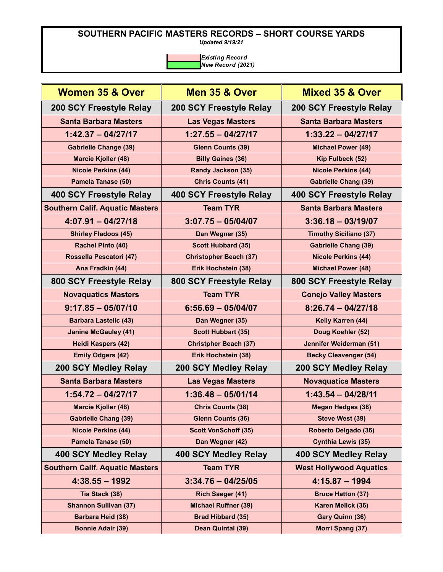*Updated 9/19/21*

| <b>Women 35 &amp; Over</b>             | Men 35 & Over                  | <b>Mixed 35 &amp; Over</b>     |
|----------------------------------------|--------------------------------|--------------------------------|
| 200 SCY Freestyle Relay                | 200 SCY Freestyle Relay        | 200 SCY Freestyle Relay        |
| <b>Santa Barbara Masters</b>           | <b>Las Vegas Masters</b>       | <b>Santa Barbara Masters</b>   |
| $1:42.37 - 04/27/17$                   | $1:27.55 - 04/27/17$           | $1:33.22 - 04/27/17$           |
| <b>Gabrielle Change (39)</b>           | <b>Glenn Counts (39)</b>       | <b>Michael Power (49)</b>      |
| <b>Marcie Kjoller (48)</b>             | <b>Billy Gaines (36)</b>       | Kip Fulbeck (52)               |
| <b>Nicole Perkins (44)</b>             | <b>Randy Jackson (35)</b>      | <b>Nicole Perkins (44)</b>     |
| Pamela Tanase (50)                     | <b>Chris Counts (41)</b>       | <b>Gabrielle Chang (39)</b>    |
| 400 SCY Freestyle Relay                | <b>400 SCY Freestyle Relay</b> | 400 SCY Freestyle Relay        |
| <b>Southern Calif. Aquatic Masters</b> | <b>Team TYR</b>                | <b>Santa Barbara Masters</b>   |
| $4:07.91 - 04/27/18$                   | $3:07.75 - 05/04/07$           | $3:36.18 - 03/19/07$           |
| <b>Shirley Fladoos (45)</b>            | Dan Wegner (35)                | <b>Timothy Siciliano (37)</b>  |
| Rachel Pinto (40)                      | <b>Scott Hubbard (35)</b>      | <b>Gabrielle Chang (39)</b>    |
| Rossella Pescatori (47)                | <b>Christopher Beach (37)</b>  | <b>Nicole Perkins (44)</b>     |
| Ana Fradkin (44)                       | Erik Hochstein (38)            | <b>Michael Power (48)</b>      |
| 800 SCY Freestyle Relay                | 800 SCY Freestyle Relay        | 800 SCY Freestyle Relay        |
| <b>Novaquatics Masters</b>             | <b>Team TYR</b>                | <b>Conejo Valley Masters</b>   |
| $9:17.85 - 05/07/10$                   | $6:56.69 - 05/04/07$           | $8:26.74 - 04/27/18$           |
| <b>Barbara Lastelic (43)</b>           | Dan Wegner (35)                | Kelly Karren (44)              |
| <b>Janine McGauley (41)</b>            | <b>Scott Hubbart (35)</b>      | Doug Koehler (52)              |
| Heidi Kaspers (42)                     | <b>Christpher Beach (37)</b>   | Jennifer Weiderman (51)        |
| <b>Emily Odgers (42)</b>               | Erik Hochstein (38)            | <b>Becky Cleavenger (54)</b>   |
| 200 SCY Medley Relay                   | 200 SCY Medley Relay           | 200 SCY Medley Relay           |
| <b>Santa Barbara Masters</b>           | <b>Las Vegas Masters</b>       | <b>Novaquatics Masters</b>     |
| $1:54.72 - 04/27/17$                   | $1:36.48 - 05/01/14$           | $1:43.54 - 04/28/11$           |
| <b>Marcie Kjoller (48)</b>             | <b>Chris Counts (38)</b>       | <b>Megan Hedges (38)</b>       |
| <b>Gabrielle Chang (39)</b>            | <b>Glenn Counts (36)</b>       | Steve West (39)                |
| <b>Nicole Perkins (44)</b>             | <b>Scott VonSchoff (35)</b>    | <b>Roberto Delgado (36)</b>    |
| Pamela Tanase (50)                     | Dan Wegner (42)                | <b>Cynthia Lewis (35)</b>      |
| 400 SCY Medley Relay                   | 400 SCY Medley Relay           | 400 SCY Medley Relay           |
| <b>Southern Calif. Aquatic Masters</b> | <b>Team TYR</b>                | <b>West Hollywood Aquatics</b> |
| $4:38.55 - 1992$                       | $3:34.76 - 04/25/05$           | $4:15.87 - 1994$               |
| Tia Stack (38)                         | Rich Saeger (41)               | <b>Bruce Hatton (37)</b>       |
| <b>Shannon Sullivan (37)</b>           | <b>Michael Ruffner (39)</b>    | Karen Melick (36)              |
| <b>Barbara Heid (38)</b>               | <b>Brad Hibbard (35)</b>       | Gary Quinn (36)                |
| <b>Bonnie Adair (39)</b>               | Dean Quintal (39)              | Morri Spang (37)               |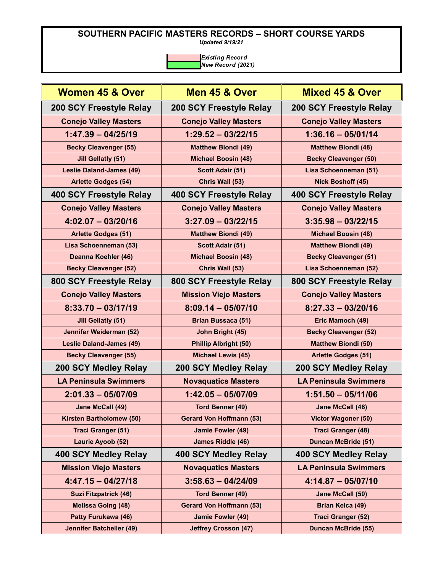*Updated 9/19/21*

| Women 45 & Over                 | Men 45 & Over                   | <b>Mixed 45 &amp; Over</b>   |
|---------------------------------|---------------------------------|------------------------------|
| 200 SCY Freestyle Relay         | 200 SCY Freestyle Relay         | 200 SCY Freestyle Relay      |
| <b>Conejo Valley Masters</b>    | <b>Conejo Valley Masters</b>    | <b>Conejo Valley Masters</b> |
| $1:47.39 - 04/25/19$            | $1:29.52 - 03/22/15$            | $1:36.16 - 05/01/14$         |
| <b>Becky Cleavenger (55)</b>    | <b>Matthew Biondi (49)</b>      | <b>Matthew Biondi (48)</b>   |
| <b>Jill Gellatly (51)</b>       | <b>Michael Boosin (48)</b>      | <b>Becky Cleavenger (50)</b> |
| <b>Leslie Daland-James (49)</b> | <b>Scott Adair (51)</b>         | Lisa Schoenneman (51)        |
| <b>Arlette Godges (54)</b>      | Chris Wall (53)                 | Nick Boshoff (45)            |
| 400 SCY Freestyle Relay         | 400 SCY Freestyle Relay         | 400 SCY Freestyle Relay      |
| <b>Conejo Valley Masters</b>    | <b>Conejo Valley Masters</b>    | <b>Conejo Valley Masters</b> |
| $4:02.07 - 03/20/16$            | $3:27.09 - 03/22/15$            | $3:35.98 - 03/22/15$         |
| <b>Arlette Godges (51)</b>      | <b>Matthew Biondi (49)</b>      | <b>Michael Boosin (48)</b>   |
| Lisa Schoenneman (53)           | <b>Scott Adair (51)</b>         | <b>Matthew Biondi (49)</b>   |
| Deanna Koehler (46)             | <b>Michael Boosin (48)</b>      | <b>Becky Cleavenger (51)</b> |
| <b>Becky Cleavenger (52)</b>    | Chris Wall (53)                 | Lisa Schoenneman (52)        |
| 800 SCY Freestyle Relay         | 800 SCY Freestyle Relay         | 800 SCY Freestyle Relay      |
| <b>Conejo Valley Masters</b>    | <b>Mission Viejo Masters</b>    | <b>Conejo Valley Masters</b> |
| $8:33.70 - 03/17/19$            | $8:09.14 - 05/07/10$            | $8:27.33 - 03/20/16$         |
| <b>Jill Gellatly (51)</b>       | <b>Brian Bussaca (51)</b>       | Eric Mamoch (49)             |
| Jennifer Weiderman (52)         | John Bright (45)                | <b>Becky Cleavenger (52)</b> |
| <b>Leslie Daland-James (49)</b> | <b>Phillip Albright (50)</b>    | <b>Matthew Biondi (50)</b>   |
| <b>Becky Cleavenger (55)</b>    | <b>Michael Lewis (45)</b>       | <b>Arlette Godges (51)</b>   |
| 200 SCY Medley Relay            | 200 SCY Medley Relay            | 200 SCY Medley Relay         |
| <b>LA Peninsula Swimmers</b>    | <b>Novaquatics Masters</b>      | <b>LA Peninsula Swimmers</b> |
| $2:01.33 - 05/07/09$            | $1:42.05 - 05/07/09$            | $1:51.50 - 05/11/06$         |
| Jane McCall (49)                | <b>Tord Benner (49)</b>         | Jane McCall (46)             |
| <b>Kirsten Bartholomew (50)</b> | <b>Gerard Von Hoffmann (53)</b> | <b>Victor Wagoner (50)</b>   |
| <b>Traci Granger (51)</b>       | Jamie Fowler (49)               | <b>Traci Granger (48)</b>    |
| Laurie Ayoob (52)               | <b>James Riddle (46)</b>        | <b>Duncan McBride (51)</b>   |
| 400 SCY Medley Relay            | 400 SCY Medley Relay            | 400 SCY Medley Relay         |
| <b>Mission Viejo Masters</b>    | <b>Novaquatics Masters</b>      | <b>LA Peninsula Swimmers</b> |
| $4:47.15 - 04/27/18$            | $3:58.63 - 04/24/09$            | $4:14.87 - 05/07/10$         |
| <b>Suzi Fitzpatrick (46)</b>    | <b>Tord Benner (49)</b>         | Jane McCall (50)             |
| <b>Melissa Going (48)</b>       | <b>Gerard Von Hoffmann (53)</b> | <b>Brian Kelca (49)</b>      |
| Patty Furukawa (46)             | Jamie Fowler (49)               | <b>Traci Granger (52)</b>    |
| <b>Jennifer Batcheller (49)</b> | <b>Jeffrey Crosson (47)</b>     | <b>Duncan McBride (55)</b>   |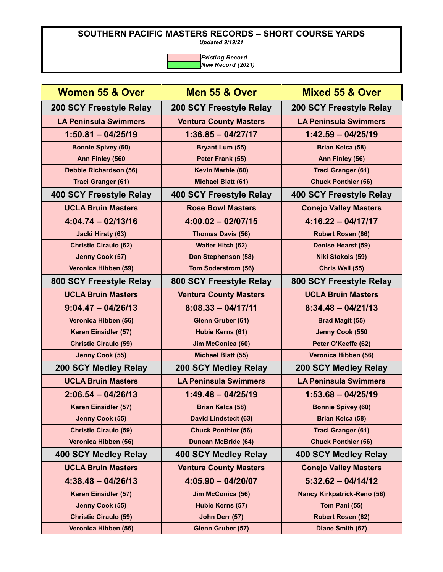*Updated 9/19/21*

| <b>Women 55 &amp; Over</b>     | Men 55 & Over                  | <b>Mixed 55 &amp; Over</b>         |
|--------------------------------|--------------------------------|------------------------------------|
| 200 SCY Freestyle Relay        | 200 SCY Freestyle Relay        | 200 SCY Freestyle Relay            |
| <b>LA Peninsula Swimmers</b>   | <b>Ventura County Masters</b>  | <b>LA Peninsula Swimmers</b>       |
| $1:50.81 - 04/25/19$           | $1:36.85 - 04/27/17$           | $1:42.59 - 04/25/19$               |
| <b>Bonnie Spivey (60)</b>      | <b>Bryant Lum (55)</b>         | <b>Brian Kelca (58)</b>            |
| Ann Finley (560                | Peter Frank (55)               | Ann Finley (56)                    |
| Debbie Richardson (56)         | Kevin Marble (60)              | Traci Granger (61)                 |
| Traci Granger (61)             | Michael Blatt (61)             | <b>Chuck Ponthier (56)</b>         |
| <b>400 SCY Freestyle Relay</b> | <b>400 SCY Freestyle Relay</b> | 400 SCY Freestyle Relay            |
| <b>UCLA Bruin Masters</b>      | <b>Rose Bowl Masters</b>       | <b>Conejo Valley Masters</b>       |
| $4:04.74 - 02/13/16$           | $4:00.02 - 02/07/15$           | $4:16.22 - 04/17/17$               |
| <b>Jacki Hirsty (63)</b>       | Thomas Davis (56)              | Robert Rosen (66)                  |
| <b>Christie Ciraulo (62)</b>   | <b>Walter Hitch (62)</b>       | <b>Denise Hearst (59)</b>          |
| Jenny Cook (57)                | Dan Stephenson (58)            | <b>Niki Stokols (59)</b>           |
| Veronica Hibben (59)           | <b>Tom Soderstrom (56)</b>     | Chris Wall (55)                    |
| 800 SCY Freestyle Relay        | 800 SCY Freestyle Relay        | 800 SCY Freestyle Relay            |
| <b>UCLA Bruin Masters</b>      | <b>Ventura County Masters</b>  | <b>UCLA Bruin Masters</b>          |
| $9:04.47 - 04/26/13$           | $8:08.33 - 04/17/11$           | $8:34.48 - 04/21/13$               |
| Veronica Hibben (56)           | Glenn Gruber (61)              | <b>Brad Magit (55)</b>             |
| Karen Einsidler (57)           | Hubie Kerns (61)               | Jenny Cook (550                    |
| <b>Christie Ciraulo (59)</b>   | Jim McConica (60)              | Peter O'Keeffe (62)                |
| Jenny Cook (55)                | <b>Michael Blatt (55)</b>      | Veronica Hibben (56)               |
| 200 SCY Medley Relay           | 200 SCY Medley Relay           | 200 SCY Medley Relay               |
| <b>UCLA Bruin Masters</b>      | <b>LA Peninsula Swimmers</b>   | <b>LA Peninsula Swimmers</b>       |
| $2:06.54 - 04/26/13$           | $1:49.48 - 04/25/19$           | $1:53.68 - 04/25/19$               |
| Karen Einsidler (57)           | <b>Brian Kelca (58)</b>        | <b>Bonnie Spivey (60)</b>          |
| Jenny Cook (55)                | <b>David Lindstedt (63)</b>    | <b>Brian Kelca (58)</b>            |
| <b>Christie Ciraulo (59)</b>   | <b>Chuck Ponthier (56)</b>     | Traci Granger (61)                 |
| Veronica Hibben (56)           | <b>Duncan McBride (64)</b>     | <b>Chuck Ponthier (56)</b>         |
| 400 SCY Medley Relay           | 400 SCY Medley Relay           | 400 SCY Medley Relay               |
| <b>UCLA Bruin Masters</b>      | <b>Ventura County Masters</b>  | <b>Conejo Valley Masters</b>       |
| $4:38.48 - 04/26/13$           | $4:05.90 - 04/20/07$           | $5:32.62 - 04/14/12$               |
| Karen Einsidler (57)           | Jim McConica (56)              | <b>Nancy Kirkpatrick-Reno (56)</b> |
| Jenny Cook (55)                | Hubie Kerns (57)               | Tom Pani (55)                      |
| <b>Christie Ciraulo (59)</b>   | John Derr (57)                 | Robert Rosen (62)                  |
| Veronica Hibben (56)           | Glenn Gruber (57)              | Diane Smith (67)                   |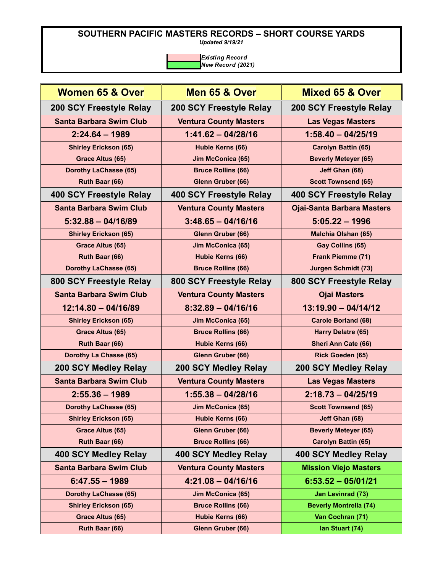*Updated 9/19/21*

| <b>Women 65 &amp; Over</b>     | Men 65 & Over                 | <b>Mixed 65 &amp; Over</b>        |
|--------------------------------|-------------------------------|-----------------------------------|
| 200 SCY Freestyle Relay        | 200 SCY Freestyle Relay       | 200 SCY Freestyle Relay           |
| <b>Santa Barbara Swim Club</b> | <b>Ventura County Masters</b> | <b>Las Vegas Masters</b>          |
| $2:24.64 - 1989$               | $1:41.62 - 04/28/16$          | $1:58.40 - 04/25/19$              |
| <b>Shirley Erickson (65)</b>   | Hubie Kerns (66)              | <b>Carolyn Battin (65)</b>        |
| Grace Altus (65)               | Jim McConica (65)             | <b>Beverly Meteyer (65)</b>       |
| <b>Dorothy LaChasse (65)</b>   | <b>Bruce Rollins (66)</b>     | Jeff Ghan (68)                    |
| Ruth Baar (66)                 | Glenn Gruber (66)             | <b>Scott Townsend (65)</b>        |
| 400 SCY Freestyle Relay        | 400 SCY Freestyle Relay       | 400 SCY Freestyle Relay           |
| <b>Santa Barbara Swim Club</b> | <b>Ventura County Masters</b> | <b>Ojai-Santa Barbara Masters</b> |
| $5:32.88 - 04/16/89$           | $3:48.65 - 04/16/16$          | $5:05.22 - 1996$                  |
| <b>Shirley Erickson (65)</b>   | Glenn Gruber (66)             | <b>Malchia Olshan (65)</b>        |
| Grace Altus (65)               | Jim McConica (65)             | Gay Collins (65)                  |
| Ruth Baar (66)                 | Hubie Kerns (66)              | Frank Piemme (71)                 |
| <b>Dorothy LaChasse (65)</b>   | <b>Bruce Rollins (66)</b>     | <b>Jurgen Schmidt (73)</b>        |
| 800 SCY Freestyle Relay        | 800 SCY Freestyle Relay       | 800 SCY Freestyle Relay           |
| <b>Santa Barbara Swim Club</b> | <b>Ventura County Masters</b> | <b>Ojai Masters</b>               |
| $12:14.80 - 04/16/89$          | $8:32.89 - 04/16/16$          | $13:19.90 - 04/14/12$             |
| <b>Shirley Erickson (65)</b>   | Jim McConica (65)             | <b>Carole Borland (68)</b>        |
| Grace Altus (65)               | <b>Bruce Rollins (66)</b>     | Harry Delatre (65)                |
| Ruth Baar (66)                 | Hubie Kerns (66)              | <b>Sheri Ann Cate (66)</b>        |
| Dorothy La Chasse (65)         | Glenn Gruber (66)             | Rick Goeden (65)                  |
| 200 SCY Medley Relay           | 200 SCY Medley Relay          | 200 SCY Medley Relay              |
| <b>Santa Barbara Swim Club</b> | <b>Ventura County Masters</b> | <b>Las Vegas Masters</b>          |
| $2:55.36 - 1989$               | $1:55.38 - 04/28/16$          | $2:18.73 - 04/25/19$              |
| <b>Dorothy LaChasse (65)</b>   | Jim McConica (65)             | <b>Scott Townsend (65)</b>        |
| <b>Shirley Erickson (65)</b>   | Hubie Kerns (66)              | Jeff Ghan (68)                    |
| Grace Altus (65)               | Glenn Gruber (66)             | <b>Beverly Meteyer (65)</b>       |
| Ruth Baar (66)                 | <b>Bruce Rollins (66)</b>     | <b>Carolyn Battin (65)</b>        |
| 400 SCY Medley Relay           | 400 SCY Medley Relay          | 400 SCY Medley Relay              |
| <b>Santa Barbara Swim Club</b> | <b>Ventura County Masters</b> | <b>Mission Viejo Masters</b>      |
| $6:47.55 - 1989$               | $4:21.08 - 04/16/16$          | $6:53.52 - 05/01/21$              |
| <b>Dorothy LaChasse (65)</b>   | Jim McConica (65)             | <b>Jan Levinrad (73)</b>          |
| <b>Shirley Erickson (65)</b>   | <b>Bruce Rollins (66)</b>     | <b>Beverly Montrella (74)</b>     |
|                                |                               |                                   |
| Grace Altus (65)               | <b>Hubie Kerns (66)</b>       | Van Cochran (71)                  |